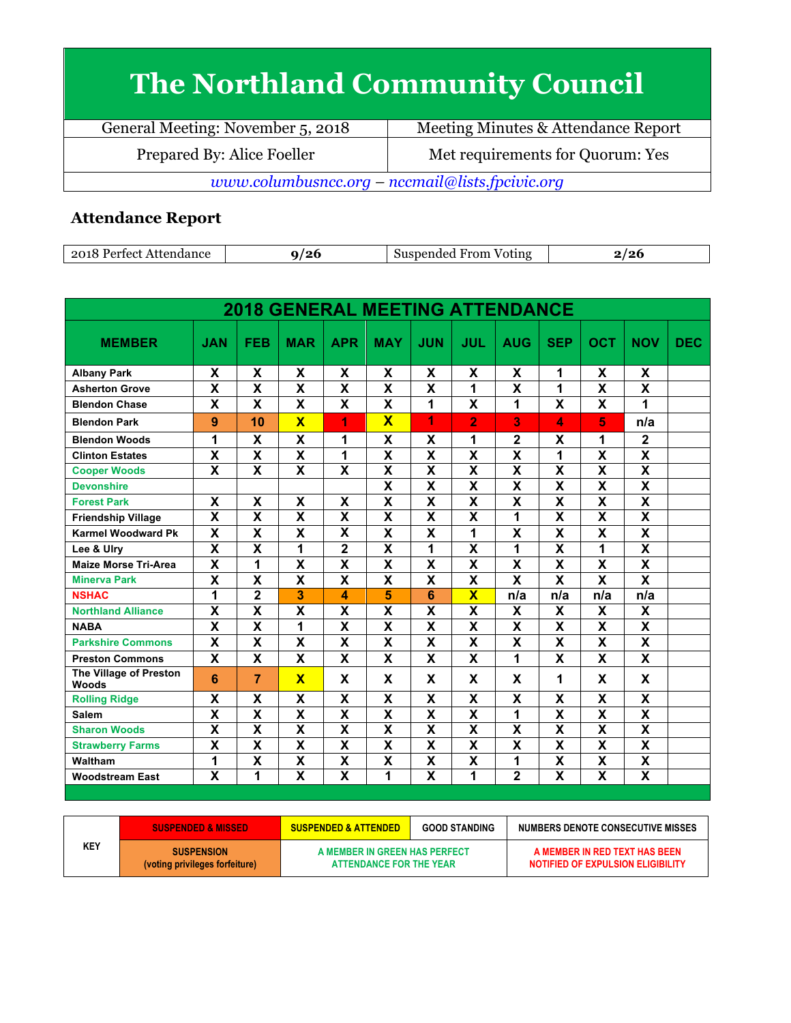## **The Northland Community Council**

General Meeting: November 5, 2018 Meeting Minutes & Attendance Report Prepared By: Alice Foeller Met requirements for Quorum: Yes *www.columbusncc.org – nccmail@lists.fpcivic.org*

## **Attendance Report**

| 2018<br>Attendance<br>, Pertect. | '26 | $ -$<br>Suspended<br>From<br>Voting<br>.NU 5 | . ה<br>$\sqrt{2}$ |
|----------------------------------|-----|----------------------------------------------|-------------------|

|                                        |                           |                         | <b>2018 GENERAL MEETING ATTENDANCE</b> |                           |                           |                         |                         |                         |                           |                           |                         |            |
|----------------------------------------|---------------------------|-------------------------|----------------------------------------|---------------------------|---------------------------|-------------------------|-------------------------|-------------------------|---------------------------|---------------------------|-------------------------|------------|
| <b>MEMBER</b>                          | <b>JAN</b>                | <b>FEB</b>              | <b>MAR</b>                             | <b>APR</b>                | <b>MAY</b>                | <b>JUN</b>              | JUL                     | <b>AUG</b>              | <b>SEP</b>                | <b>OCT</b>                | <b>NOV</b>              | <b>DEC</b> |
| <b>Albany Park</b>                     | X                         | X                       | X                                      | X                         | X                         | X                       | X                       | X                       | 1                         | X                         | X                       |            |
| <b>Asherton Grove</b>                  | $\overline{\mathbf{X}}$   | $\overline{\textsf{x}}$ | $\overline{\textsf{x}}$                | $\overline{\mathbf{x}}$   | $\overline{\mathbf{X}}$   | $\overline{\mathsf{x}}$ | $\overline{\mathbf{1}}$ | $\overline{\textsf{x}}$ | 1                         | $\overline{\mathbf{X}}$   | $\overline{\mathsf{x}}$ |            |
| <b>Blendon Chase</b>                   | X                         | X                       | X                                      | X                         | X                         | 1                       | X                       | 1                       | X                         | X                         | 1                       |            |
| <b>Blendon Park</b>                    | 9                         | 10                      | $\overline{\mathsf{x}}$                | 1                         | $\overline{\mathbf{x}}$   | 1                       | $\overline{2}$          | 3                       | 4                         | 5                         | n/a                     |            |
| <b>Blendon Woods</b>                   | 1                         | X                       | X                                      | 1                         | X                         | X                       | 1                       | $\mathbf{2}$            | X                         | 1                         | $\overline{2}$          |            |
| <b>Clinton Estates</b>                 | $\overline{\mathbf{X}}$   | $\overline{\textbf{x}}$ | $\overline{\textbf{x}}$                | 1                         | $\overline{\mathbf{X}}$   | $\overline{\mathbf{X}}$ | $\overline{\mathsf{x}}$ | $\overline{\mathbf{x}}$ | 1                         | $\overline{\mathbf{X}}$   | $\overline{\mathsf{x}}$ |            |
| <b>Cooper Woods</b>                    | X                         | X                       | X                                      | X                         | X                         | X                       | X                       | X                       | X                         | $\boldsymbol{\mathsf{X}}$ | $\overline{\mathsf{x}}$ |            |
| <b>Devonshire</b>                      |                           |                         |                                        |                           | $\overline{\mathbf{x}}$   | $\overline{\mathsf{x}}$ | $\overline{\mathbf{x}}$ | $\overline{\mathsf{x}}$ | $\overline{\mathbf{x}}$   | $\overline{\mathbf{x}}$   | $\overline{\mathsf{x}}$ |            |
| <b>Forest Park</b>                     | X                         | X                       | X                                      | $\overline{\mathbf{x}}$   | $\overline{\mathsf{x}}$   | $\overline{\mathsf{x}}$ | $\overline{\mathsf{x}}$ | $\overline{\mathsf{x}}$ | $\overline{\mathsf{x}}$   | $\overline{\mathbf{x}}$   | $\overline{\mathsf{x}}$ |            |
| <b>Friendship Village</b>              | $\overline{\mathbf{x}}$   | X                       | X                                      | X                         | X                         | X                       | X                       | 1                       | X                         | X                         | $\overline{\mathsf{x}}$ |            |
| <b>Karmel Woodward Pk</b>              | $\mathsf{X}$              | X                       | X                                      | $\overline{\mathbf{X}}$   | $\boldsymbol{\mathsf{X}}$ | $\overline{\mathsf{x}}$ | 1                       | X                       | X                         | $\overline{\mathbf{x}}$   | $\overline{\mathbf{x}}$ |            |
| Lee & Ulry                             | $\overline{\mathbf{x}}$   | $\overline{\mathsf{x}}$ | 1                                      | $\overline{2}$            | $\overline{\mathbf{x}}$   | 1                       | $\overline{\textsf{x}}$ | 1                       | $\overline{\mathbf{x}}$   | 1                         | $\overline{\mathsf{x}}$ |            |
| <b>Maize Morse Tri-Area</b>            | $\overline{\mathbf{x}}$   | 1                       | $\overline{\mathsf{x}}$                | $\boldsymbol{\mathsf{X}}$ | $\overline{\mathbf{x}}$   | $\overline{\mathsf{x}}$ | $\overline{\textbf{x}}$ | $\overline{\mathsf{x}}$ | $\overline{\mathsf{x}}$   | $\overline{\mathsf{x}}$   | $\overline{\mathsf{x}}$ |            |
| <b>Minerva Park</b>                    | $\overline{\mathsf{x}}$   | $\overline{\textsf{x}}$ | $\overline{\mathbf{x}}$                | $\overline{\mathbf{x}}$   | $\overline{\mathbf{x}}$   | $\overline{\mathbf{x}}$ | $\overline{\mathbf{x}}$ | $\overline{\mathbf{x}}$ | $\overline{\mathbf{x}}$   | $\overline{\mathsf{x}}$   | $\overline{\mathbf{x}}$ |            |
| <b>NSHAC</b>                           | 1                         | $\overline{2}$          | 3                                      | 4                         | 5                         | 6                       | $\overline{\mathbf{X}}$ | n/a                     | n/a                       | n/a                       | n/a                     |            |
| <b>Northland Alliance</b>              | X                         | $\overline{\mathsf{x}}$ | X                                      | $\boldsymbol{\mathsf{X}}$ | X                         | X                       | X                       | X                       | $\boldsymbol{\mathsf{X}}$ | $\boldsymbol{\mathsf{X}}$ | X                       |            |
| <b>NABA</b>                            | $\overline{\mathbf{x}}$   | $\overline{\mathsf{x}}$ | 1                                      | $\overline{\mathbf{x}}$   | $\overline{\mathbf{x}}$   | $\overline{\mathsf{x}}$ | $\overline{\mathsf{x}}$ | $\overline{\mathsf{x}}$ | $\overline{\mathbf{x}}$   | $\overline{\mathbf{x}}$   | $\overline{\mathsf{x}}$ |            |
| <b>Parkshire Commons</b>               | X                         | X                       | X                                      | X                         | X                         | X                       | X                       | X                       | X                         | X                         | X                       |            |
| <b>Preston Commons</b>                 | $\mathbf x$               | X                       | X                                      | $\mathbf x$               | $\overline{\mathbf{x}}$   | X                       | X                       | 1                       | X                         | $\mathsf{x}$              | $\overline{\mathsf{x}}$ |            |
| The Village of Preston<br><b>Woods</b> | 6                         | 7                       | $\mathbf x$                            | X                         | X                         | X                       | X                       | X                       | 1                         | X                         | X                       |            |
| <b>Rolling Ridge</b>                   | $\boldsymbol{\mathsf{X}}$ | X                       | X                                      | $\pmb{\mathsf{X}}$        | $\pmb{\mathsf{X}}$        | X                       | X                       | X                       | X                         | $\pmb{\mathsf{X}}$        | X                       |            |
| Salem                                  | $\overline{\mathbf{x}}$   | X                       | $\overline{\mathsf{x}}$                | X                         | X                         | X                       | $\overline{\textsf{x}}$ | 1                       | $\overline{\mathsf{x}}$   | $\overline{\mathbf{X}}$   | $\overline{\mathsf{x}}$ |            |
| <b>Sharon Woods</b>                    | $\overline{\mathbf{x}}$   | $\overline{\mathsf{x}}$ | $\overline{\mathsf{x}}$                | $\overline{\mathbf{x}}$   | $\overline{\mathsf{x}}$   | $\overline{\mathsf{x}}$ | $\overline{\mathsf{x}}$ | X                       | $\overline{\mathsf{x}}$   | $\overline{\mathsf{x}}$   | $\overline{\mathsf{x}}$ |            |
| <b>Strawberry Farms</b>                | $\overline{\mathbf{X}}$   | X                       | X                                      | $\overline{\mathbf{X}}$   | $\overline{\mathbf{x}}$   | $\overline{\mathsf{x}}$ | X                       | X                       | $\boldsymbol{\mathsf{x}}$ | $\pmb{\mathsf{X}}$        | $\overline{\mathsf{x}}$ |            |
| Waltham                                | 1                         | X                       | $\overline{\mathsf{x}}$                | $\overline{\mathbf{x}}$   | $\overline{\mathbf{x}}$   | $\overline{\mathsf{x}}$ | $\overline{\textsf{x}}$ | 1                       | $\overline{\mathsf{x}}$   | $\overline{\mathbf{x}}$   | $\overline{\mathsf{x}}$ |            |
| <b>Woodstream East</b>                 | $\overline{\mathbf{x}}$   | 1                       | $\overline{\mathbf{x}}$                | X                         | 1                         | $\overline{\mathsf{x}}$ | 1                       | $\overline{2}$          | $\overline{\textsf{x}}$   | $\overline{\mathsf{x}}$   | $\overline{\mathsf{x}}$ |            |

|     | <b>SUSPENDED &amp; MISSED</b>                       | <b>SUSPENDED &amp; ATTENDED</b>                          | <b>GOOD STANDING</b> | NUMBERS DENOTE CONSECUTIVE MISSES                                         |  |  |
|-----|-----------------------------------------------------|----------------------------------------------------------|----------------------|---------------------------------------------------------------------------|--|--|
| KEY | <b>SUSPENSION</b><br>(voting privileges forfeiture) | A MEMBER IN GREEN HAS PERFECT<br>ATTENDANCE FOR THE YEAR |                      | A MEMBER IN RED TEXT HAS BEEN<br><b>NOTIFIED OF EXPULSION ELIGIBILITY</b> |  |  |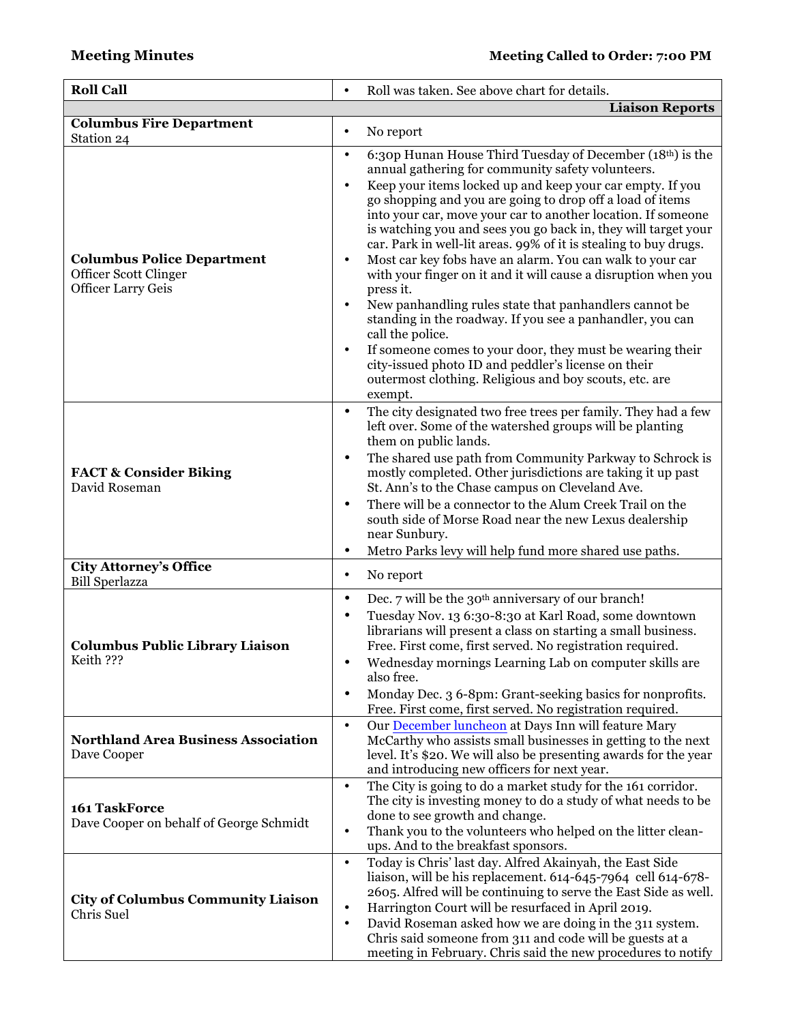| <b>Roll Call</b>                                                                        | Roll was taken. See above chart for details.<br>$\bullet$                                                                                                                                                                                                                                                                                                                                                                                                                                                                                                                                                                                                                                                                                                                                                                                                                                                                                                                                       |
|-----------------------------------------------------------------------------------------|-------------------------------------------------------------------------------------------------------------------------------------------------------------------------------------------------------------------------------------------------------------------------------------------------------------------------------------------------------------------------------------------------------------------------------------------------------------------------------------------------------------------------------------------------------------------------------------------------------------------------------------------------------------------------------------------------------------------------------------------------------------------------------------------------------------------------------------------------------------------------------------------------------------------------------------------------------------------------------------------------|
|                                                                                         | <b>Liaison Reports</b>                                                                                                                                                                                                                                                                                                                                                                                                                                                                                                                                                                                                                                                                                                                                                                                                                                                                                                                                                                          |
| <b>Columbus Fire Department</b><br>Station 24                                           | No report<br>$\bullet$                                                                                                                                                                                                                                                                                                                                                                                                                                                                                                                                                                                                                                                                                                                                                                                                                                                                                                                                                                          |
| <b>Columbus Police Department</b><br>Officer Scott Clinger<br><b>Officer Larry Geis</b> | 6:30p Hunan House Third Tuesday of December (18th) is the<br>$\bullet$<br>annual gathering for community safety volunteers.<br>Keep your items locked up and keep your car empty. If you<br>$\bullet$<br>go shopping and you are going to drop off a load of items<br>into your car, move your car to another location. If someone<br>is watching you and sees you go back in, they will target your<br>car. Park in well-lit areas. 99% of it is stealing to buy drugs.<br>Most car key fobs have an alarm. You can walk to your car<br>$\bullet$<br>with your finger on it and it will cause a disruption when you<br>press it.<br>New panhandling rules state that panhandlers cannot be<br>$\bullet$<br>standing in the roadway. If you see a panhandler, you can<br>call the police.<br>If someone comes to your door, they must be wearing their<br>$\bullet$<br>city-issued photo ID and peddler's license on their<br>outermost clothing. Religious and boy scouts, etc. are<br>exempt. |
| <b>FACT &amp; Consider Biking</b><br>David Roseman                                      | The city designated two free trees per family. They had a few<br>٠<br>left over. Some of the watershed groups will be planting<br>them on public lands.<br>The shared use path from Community Parkway to Schrock is<br>$\bullet$<br>mostly completed. Other jurisdictions are taking it up past<br>St. Ann's to the Chase campus on Cleveland Ave.<br>There will be a connector to the Alum Creek Trail on the<br>$\bullet$<br>south side of Morse Road near the new Lexus dealership<br>near Sunbury.<br>Metro Parks levy will help fund more shared use paths.<br>٠                                                                                                                                                                                                                                                                                                                                                                                                                           |
| <b>City Attorney's Office</b><br><b>Bill Sperlazza</b>                                  | No report<br>$\bullet$                                                                                                                                                                                                                                                                                                                                                                                                                                                                                                                                                                                                                                                                                                                                                                                                                                                                                                                                                                          |
| <b>Columbus Public Library Liaison</b><br>Keith ???                                     | Dec. 7 will be the 30 <sup>th</sup> anniversary of our branch!<br>$\bullet$<br>Tuesday Nov. 13 6:30-8:30 at Karl Road, some downtown<br>$\bullet$<br>librarians will present a class on starting a small business.<br>Free. First come, first served. No registration required.<br>Wednesday mornings Learning Lab on computer skills are<br>also free.<br>Monday Dec. 3 6-8pm: Grant-seeking basics for nonprofits.<br>٠<br>Free. First come, first served. No registration required.                                                                                                                                                                                                                                                                                                                                                                                                                                                                                                          |
| <b>Northland Area Business Association</b><br>Dave Cooper                               | Our December luncheon at Days Inn will feature Mary<br>$\bullet$<br>McCarthy who assists small businesses in getting to the next<br>level. It's \$20. We will also be presenting awards for the year<br>and introducing new officers for next year.                                                                                                                                                                                                                                                                                                                                                                                                                                                                                                                                                                                                                                                                                                                                             |
| 161 TaskForce<br>Dave Cooper on behalf of George Schmidt                                | The City is going to do a market study for the 161 corridor.<br>$\bullet$<br>The city is investing money to do a study of what needs to be<br>done to see growth and change.<br>Thank you to the volunteers who helped on the litter clean-<br>$\bullet$<br>ups. And to the breakfast sponsors.                                                                                                                                                                                                                                                                                                                                                                                                                                                                                                                                                                                                                                                                                                 |
| <b>City of Columbus Community Liaison</b><br>Chris Suel                                 | Today is Chris' last day. Alfred Akainyah, the East Side<br>$\bullet$<br>liaison, will be his replacement. 614-645-7964 cell 614-678-<br>2605. Alfred will be continuing to serve the East Side as well.<br>Harrington Court will be resurfaced in April 2019.<br>$\bullet$<br>David Roseman asked how we are doing in the 311 system.<br>$\bullet$<br>Chris said someone from 311 and code will be guests at a<br>meeting in February. Chris said the new procedures to notify                                                                                                                                                                                                                                                                                                                                                                                                                                                                                                                 |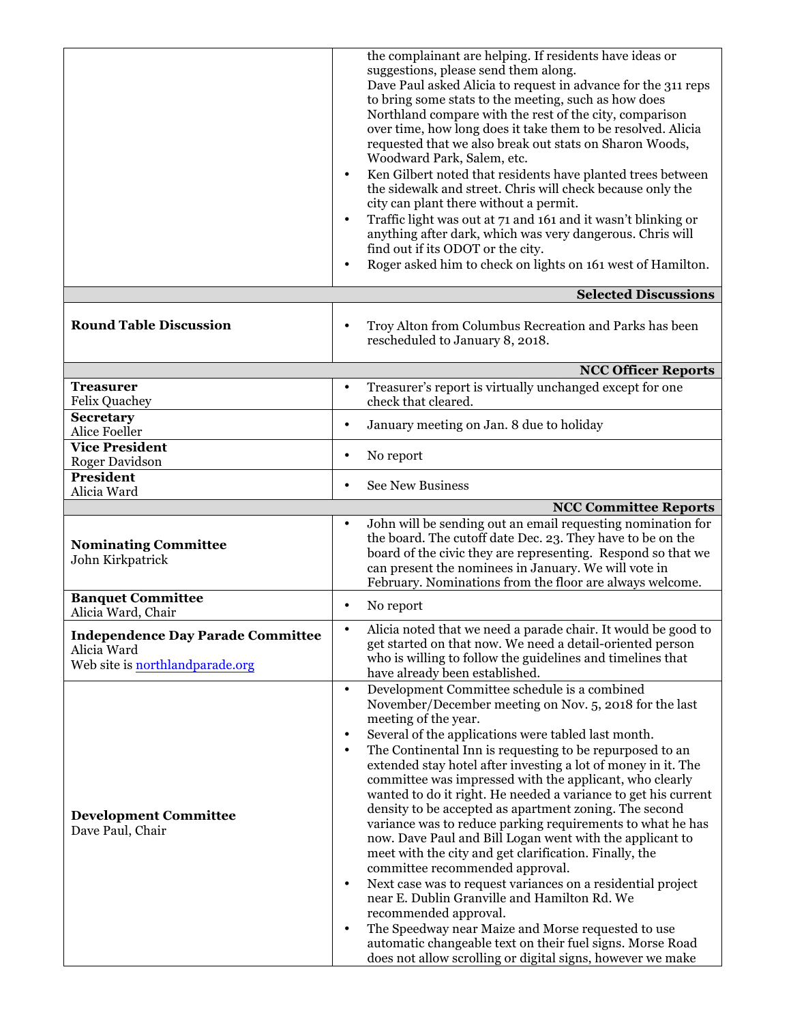|                                                                                                   | the complainant are helping. If residents have ideas or<br>suggestions, please send them along.<br>Dave Paul asked Alicia to request in advance for the 311 reps<br>to bring some stats to the meeting, such as how does<br>Northland compare with the rest of the city, comparison<br>over time, how long does it take them to be resolved. Alicia<br>requested that we also break out stats on Sharon Woods,<br>Woodward Park, Salem, etc.<br>Ken Gilbert noted that residents have planted trees between<br>the sidewalk and street. Chris will check because only the<br>city can plant there without a permit.<br>Traffic light was out at 71 and 161 and it wasn't blinking or<br>$\bullet$<br>anything after dark, which was very dangerous. Chris will<br>find out if its ODOT or the city.<br>Roger asked him to check on lights on 161 west of Hamilton.<br>$\bullet$                                                                                                                                                                                                                                            |
|---------------------------------------------------------------------------------------------------|----------------------------------------------------------------------------------------------------------------------------------------------------------------------------------------------------------------------------------------------------------------------------------------------------------------------------------------------------------------------------------------------------------------------------------------------------------------------------------------------------------------------------------------------------------------------------------------------------------------------------------------------------------------------------------------------------------------------------------------------------------------------------------------------------------------------------------------------------------------------------------------------------------------------------------------------------------------------------------------------------------------------------------------------------------------------------------------------------------------------------|
|                                                                                                   | <b>Selected Discussions</b>                                                                                                                                                                                                                                                                                                                                                                                                                                                                                                                                                                                                                                                                                                                                                                                                                                                                                                                                                                                                                                                                                                |
| <b>Round Table Discussion</b>                                                                     | Troy Alton from Columbus Recreation and Parks has been<br>$\bullet$<br>rescheduled to January 8, 2018.                                                                                                                                                                                                                                                                                                                                                                                                                                                                                                                                                                                                                                                                                                                                                                                                                                                                                                                                                                                                                     |
|                                                                                                   | <b>NCC Officer Reports</b>                                                                                                                                                                                                                                                                                                                                                                                                                                                                                                                                                                                                                                                                                                                                                                                                                                                                                                                                                                                                                                                                                                 |
| <b>Treasurer</b><br>Felix Quachey                                                                 | Treasurer's report is virtually unchanged except for one<br>$\bullet$<br>check that cleared.                                                                                                                                                                                                                                                                                                                                                                                                                                                                                                                                                                                                                                                                                                                                                                                                                                                                                                                                                                                                                               |
| <b>Secretary</b><br>Alice Foeller                                                                 | January meeting on Jan. 8 due to holiday<br>$\bullet$                                                                                                                                                                                                                                                                                                                                                                                                                                                                                                                                                                                                                                                                                                                                                                                                                                                                                                                                                                                                                                                                      |
| <b>Vice President</b><br><b>Roger Davidson</b>                                                    | No report<br>٠                                                                                                                                                                                                                                                                                                                                                                                                                                                                                                                                                                                                                                                                                                                                                                                                                                                                                                                                                                                                                                                                                                             |
| President<br>Alicia Ward                                                                          | <b>See New Business</b><br>$\bullet$                                                                                                                                                                                                                                                                                                                                                                                                                                                                                                                                                                                                                                                                                                                                                                                                                                                                                                                                                                                                                                                                                       |
|                                                                                                   | <b>NCC Committee Reports</b>                                                                                                                                                                                                                                                                                                                                                                                                                                                                                                                                                                                                                                                                                                                                                                                                                                                                                                                                                                                                                                                                                               |
| <b>Nominating Committee</b><br>John Kirkpatrick                                                   | John will be sending out an email requesting nomination for<br>$\bullet$<br>the board. The cutoff date Dec. 23. They have to be on the<br>board of the civic they are representing. Respond so that we<br>can present the nominees in January. We will vote in<br>February. Nominations from the floor are always welcome.                                                                                                                                                                                                                                                                                                                                                                                                                                                                                                                                                                                                                                                                                                                                                                                                 |
| <b>Banquet Committee</b><br>Alicia Ward, Chair                                                    | No report<br>$\bullet$                                                                                                                                                                                                                                                                                                                                                                                                                                                                                                                                                                                                                                                                                                                                                                                                                                                                                                                                                                                                                                                                                                     |
| <b>Independence Day Parade Committee</b><br>Alicia Ward<br>Web site is <b>northlandparade.org</b> | Alicia noted that we need a parade chair. It would be good to<br>get started on that now. We need a detail-oriented person<br>who is willing to follow the guidelines and timelines that<br>have already been established.                                                                                                                                                                                                                                                                                                                                                                                                                                                                                                                                                                                                                                                                                                                                                                                                                                                                                                 |
| <b>Development Committee</b><br>Dave Paul, Chair                                                  | Development Committee schedule is a combined<br>$\bullet$<br>November/December meeting on Nov. 5, 2018 for the last<br>meeting of the year.<br>Several of the applications were tabled last month.<br>$\bullet$<br>The Continental Inn is requesting to be repurposed to an<br>$\bullet$<br>extended stay hotel after investing a lot of money in it. The<br>committee was impressed with the applicant, who clearly<br>wanted to do it right. He needed a variance to get his current<br>density to be accepted as apartment zoning. The second<br>variance was to reduce parking requirements to what he has<br>now. Dave Paul and Bill Logan went with the applicant to<br>meet with the city and get clarification. Finally, the<br>committee recommended approval.<br>Next case was to request variances on a residential project<br>$\bullet$<br>near E. Dublin Granville and Hamilton Rd. We<br>recommended approval.<br>The Speedway near Maize and Morse requested to use<br>$\bullet$<br>automatic changeable text on their fuel signs. Morse Road<br>does not allow scrolling or digital signs, however we make |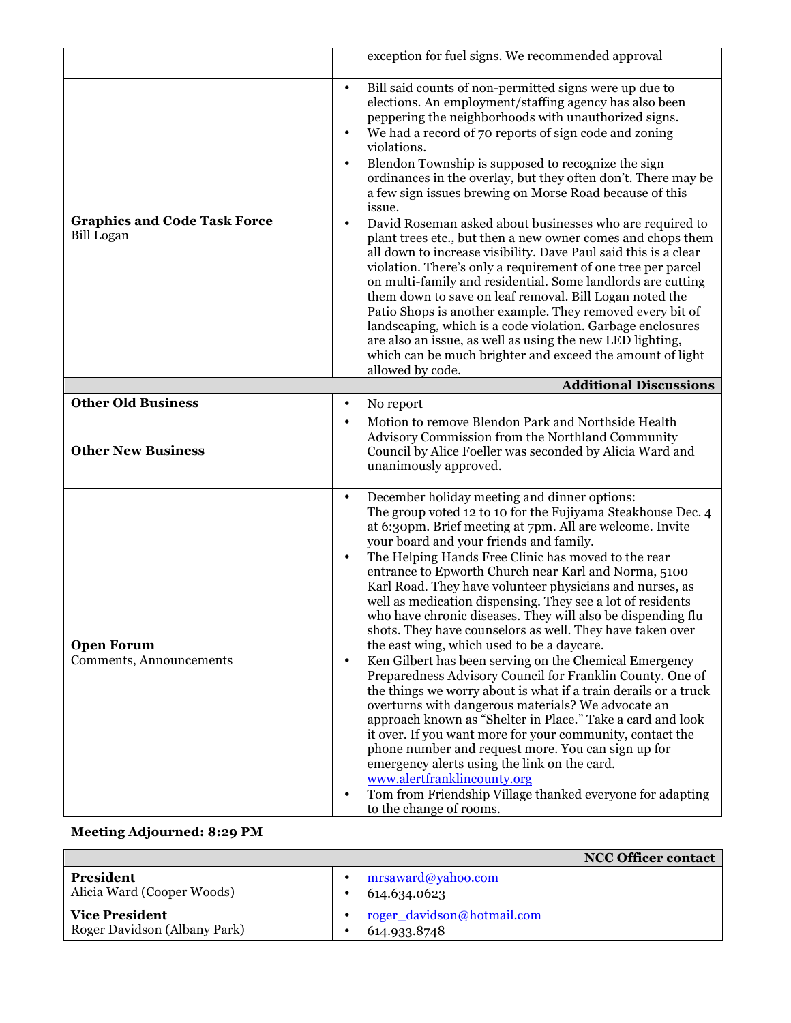|                                                          | exception for fuel signs. We recommended approval                                                                                                                                                                                                                                                                                                                                                                                                                                                                                                                                                                                                                                                                                                                                                                                                                                                                                                                                                                                                                                                                                                                                                                                                                      |
|----------------------------------------------------------|------------------------------------------------------------------------------------------------------------------------------------------------------------------------------------------------------------------------------------------------------------------------------------------------------------------------------------------------------------------------------------------------------------------------------------------------------------------------------------------------------------------------------------------------------------------------------------------------------------------------------------------------------------------------------------------------------------------------------------------------------------------------------------------------------------------------------------------------------------------------------------------------------------------------------------------------------------------------------------------------------------------------------------------------------------------------------------------------------------------------------------------------------------------------------------------------------------------------------------------------------------------------|
| <b>Graphics and Code Task Force</b><br><b>Bill Logan</b> | Bill said counts of non-permitted signs were up due to<br>$\bullet$<br>elections. An employment/staffing agency has also been<br>peppering the neighborhoods with unauthorized signs.<br>We had a record of 70 reports of sign code and zoning<br>$\bullet$<br>violations.<br>Blendon Township is supposed to recognize the sign<br>$\bullet$<br>ordinances in the overlay, but they often don't. There may be<br>a few sign issues brewing on Morse Road because of this<br>issue.<br>David Roseman asked about businesses who are required to<br>$\bullet$<br>plant trees etc., but then a new owner comes and chops them<br>all down to increase visibility. Dave Paul said this is a clear<br>violation. There's only a requirement of one tree per parcel<br>on multi-family and residential. Some landlords are cutting<br>them down to save on leaf removal. Bill Logan noted the<br>Patio Shops is another example. They removed every bit of<br>landscaping, which is a code violation. Garbage enclosures<br>are also an issue, as well as using the new LED lighting,<br>which can be much brighter and exceed the amount of light<br>allowed by code.                                                                                                      |
|                                                          | <b>Additional Discussions</b>                                                                                                                                                                                                                                                                                                                                                                                                                                                                                                                                                                                                                                                                                                                                                                                                                                                                                                                                                                                                                                                                                                                                                                                                                                          |
| <b>Other Old Business</b>                                | No report<br>$\bullet$                                                                                                                                                                                                                                                                                                                                                                                                                                                                                                                                                                                                                                                                                                                                                                                                                                                                                                                                                                                                                                                                                                                                                                                                                                                 |
| <b>Other New Business</b>                                | Motion to remove Blendon Park and Northside Health<br>$\bullet$<br>Advisory Commission from the Northland Community<br>Council by Alice Foeller was seconded by Alicia Ward and<br>unanimously approved.                                                                                                                                                                                                                                                                                                                                                                                                                                                                                                                                                                                                                                                                                                                                                                                                                                                                                                                                                                                                                                                               |
| <b>Open Forum</b><br>Comments, Announcements             | December holiday meeting and dinner options:<br>$\bullet$<br>The group voted 12 to 10 for the Fujiyama Steakhouse Dec. 4<br>at 6:30pm. Brief meeting at 7pm. All are welcome. Invite<br>your board and your friends and family.<br>The Helping Hands Free Clinic has moved to the rear<br>$\bullet$<br>entrance to Epworth Church near Karl and Norma, 5100<br>Karl Road. They have volunteer physicians and nurses, as<br>well as medication dispensing. They see a lot of residents<br>who have chronic diseases. They will also be dispending flu<br>shots. They have counselors as well. They have taken over<br>the east wing, which used to be a daycare.<br>Ken Gilbert has been serving on the Chemical Emergency<br>$\bullet$<br>Preparedness Advisory Council for Franklin County. One of<br>the things we worry about is what if a train derails or a truck<br>overturns with dangerous materials? We advocate an<br>approach known as "Shelter in Place." Take a card and look<br>it over. If you want more for your community, contact the<br>phone number and request more. You can sign up for<br>emergency alerts using the link on the card.<br>www.alertfranklincounty.org<br>Tom from Friendship Village thanked everyone for adapting<br>$\bullet$ |

## **Meeting Adjourned: 8:29 PM**

|                                                       |                                            | <b>NCC Officer contact</b> |
|-------------------------------------------------------|--------------------------------------------|----------------------------|
| President<br>Alicia Ward (Cooper Woods)               | mrsaward@yahoo.com<br>614.634.0623         |                            |
| <b>Vice President</b><br>Roger Davidson (Albany Park) | roger_davidson@hotmail.com<br>614.933.8748 |                            |

to the change of rooms.